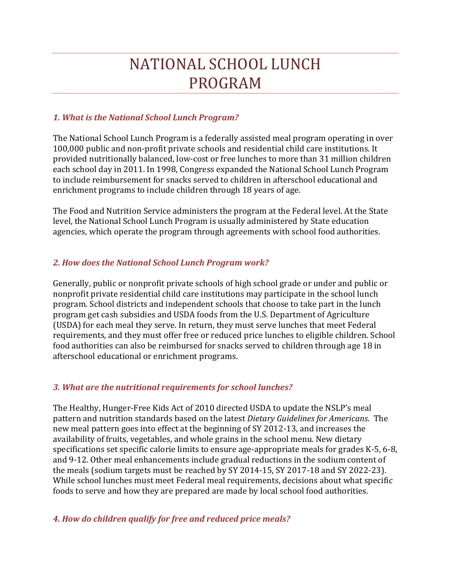# NATIONAL SCHOOL LUNCH PROGRAM

# *1. What is the National School Lunch Program?*

The National School Lunch Program is a federally assisted meal program operating in over 100,000 public and non‐profit private schools and residential child care institutions. It provided nutritionally balanced, low‐cost or free lunches to more than 31 million children each school day in 2011. In 1998, Congress expanded the National School Lunch Program to include reimbursement for snacks served to children in afterschool educational and enrichment programs to include children through 18 years of age.

The Food and Nutrition Service administers the program at the Federal level. At the State level, the National School Lunch Program is usually administered by State education agencies, which operate the program through agreements with school food authorities.

## *2. How does the National School Lunch Program work?*

Generally, public or nonprofit private schools of high school grade or under and public or nonprofit private residential child care institutions may participate in the school lunch program. School districts and independent schools that choose to take part in the lunch program get cash subsidies and USDA foods from the U.S. Department of Agriculture (USDA) for each meal they serve. In return, they must serve lunches that meet Federal requirements, and they must offer free or reduced price lunches to eligible children. School food authorities can also be reimbursed for snacks served to children through age 18 in afterschool educational or enrichment programs.

## *3. What are the nutritional requirements for school lunches?*

The Healthy, Hunger-Free Kids Act of 2010 directed USDA to update the NSLP's meal pattern and nutrition standards based on the latest *Dietary Guidelines for Americans*. The new meal pattern goes into effect at the beginning of SY 2012-13, and increases the availability of fruits, vegetables, and whole grains in the school menu. New dietary specifications set specific calorie limits to ensure age-appropriate meals for grades K-5, 6-8, and 9-12. Other meal enhancements include gradual reductions in the sodium content of the meals (sodium targets must be reached by SY 2014-15, SY 2017-18 and SY 2022-23). While school lunches must meet Federal meal requirements, decisions about what specific foods to serve and how they are prepared are made by local school food authorities.

## *4. How do children qualify for free and reduced price meals?*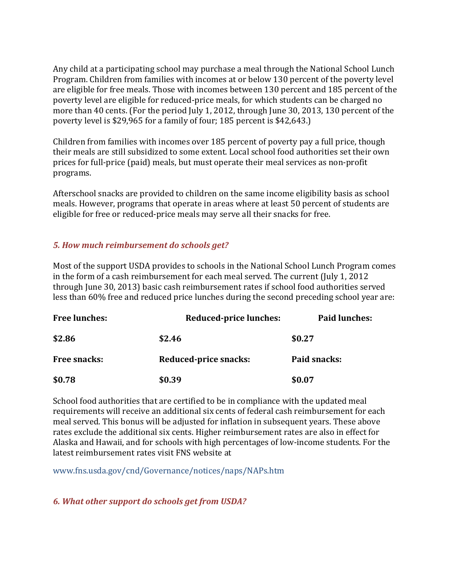Any child at a participating school may purchase a meal through the National School Lunch Program. Children from families with incomes at or below 130 percent of the poverty level are eligible for free meals. Those with incomes between 130 percent and 185 percent of the poverty level are eligible for reduced‐price meals, for which students can be charged no more than 40 cents. (For the period July 1, 2012, through June 30, 2013, 130 percent of the poverty level is \$29,965 for a family of four; 185 percent is \$42,643.)

Children from families with incomes over 185 percent of poverty pay a full price, though their meals are still subsidized to some extent. Local school food authorities set their own prices for full‐price (paid) meals, but must operate their meal services as non‐profit programs.

Afterschool snacks are provided to children on the same income eligibility basis as school meals. However, programs that operate in areas where at least 50 percent of students are eligible for free or reduced‐price meals may serve all their snacks for free.

# *5. How much reimbursement do schools get?*

Most of the support USDA provides to schools in the National School Lunch Program comes in the form of a cash reimbursement for each meal served. The current (July 1, 2012 through June 30, 2013) basic cash reimbursement rates if school food authorities served less than 60% free and reduced price lunches during the second preceding school year are:

| <b>Free lunches:</b> | Reduced-price lunches:       | <b>Paid lunches:</b> |
|----------------------|------------------------------|----------------------|
| \$2.86               | \$2.46                       | \$0.27               |
| <b>Free snacks:</b>  | <b>Reduced-price snacks:</b> | Paid snacks:         |
| \$0.78               | \$0.39                       | \$0.07               |

School food authorities that are certified to be in compliance with the updated meal requirements will receive an additional six cents of federal cash reimbursement for each meal served. This bonus will be adjusted for inflation in subsequent years. These above rates exclude the additional six cents. Higher reimbursement rates are also in effect for Alaska and Hawaii, and for schools with high percentages of low‐income students. For the latest reimbursement rates visit FNS website at

www.fns.usda.gov/cnd/Governance/notices/naps/NAPs.htm

# *6. What other support do schools get from USDA?*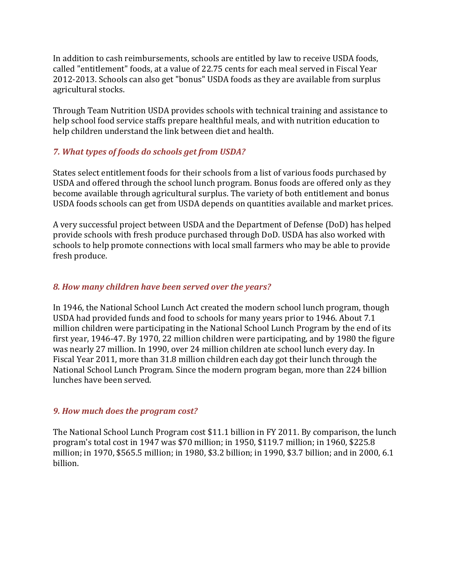In addition to cash reimbursements, schools are entitled by law to receive USDA foods, called "entitlement" foods, at a value of 22.75 cents for each meal served in Fiscal Year 2012‐2013. Schools can also get "bonus" USDA foods as they are available from surplus agricultural stocks.

Through Team Nutrition USDA provides schools with technical training and assistance to help school food service staffs prepare healthful meals, and with nutrition education to help children understand the link between diet and health.

## *7. What types of foods do schools get from USDA?*

States select entitlement foods for their schools from a list of various foods purchased by USDA and offered through the school lunch program. Bonus foods are offered only as they become available through agricultural surplus. The variety of both entitlement and bonus USDA foods schools can get from USDA depends on quantities available and market prices.

A very successful project between USDA and the Department of Defense (DoD) has helped provide schools with fresh produce purchased through DoD. USDA has also worked with schools to help promote connections with local small farmers who may be able to provide fresh produce.

## *8. How many children have been served over the years?*

In 1946, the National School Lunch Act created the modern school lunch program, though USDA had provided funds and food to schools for many years prior to 1946. About 7.1 million children were participating in the National School Lunch Program by the end of its first year, 1946‐47. By 1970, 22 million children were participating, and by 1980 the figure was nearly 27 million. In 1990, over 24 million children ate school lunch every day. In Fiscal Year 2011, more than 31.8 million children each day got their lunch through the National School Lunch Program. Since the modern program began, more than 224 billion lunches have been served.

## *9. How much does the program cost?*

The National School Lunch Program cost \$11.1 billion in FY 2011. By comparison, the lunch program's total cost in 1947 was \$70 million; in 1950, \$119.7 million; in 1960, \$225.8 million; in 1970, \$565.5 million; in 1980, \$3.2 billion; in 1990, \$3.7 billion; and in 2000, 6.1 billion.